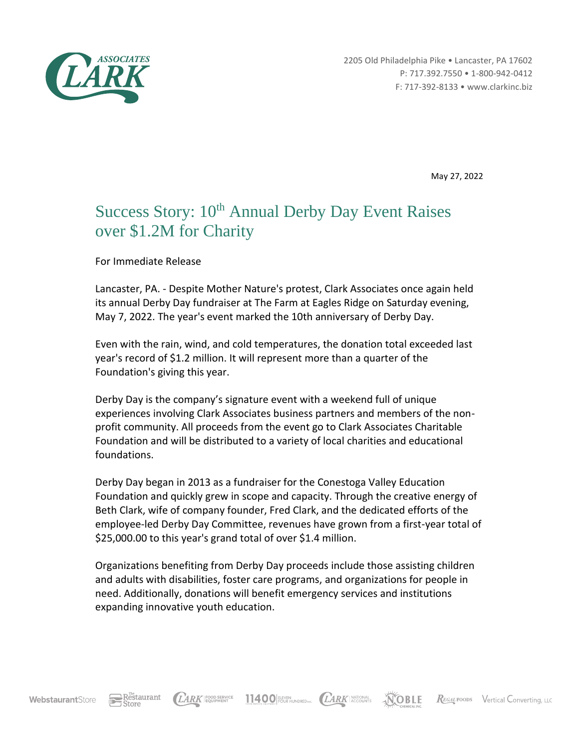

2205 Old Philadelphia Pike • Lancaster, PA 17602 P: 717.392.7550 • 1-800-942-0412 F: 717-392-8133 • www.clarkinc.biz

May 27, 2022

## Success Story: 10<sup>th</sup> Annual Derby Day Event Raises over \$1.2M for Charity

For Immediate Release

Lancaster, PA. - Despite Mother Nature's protest, Clark Associates once again held its annual Derby Day fundraiser at The Farm at Eagles Ridge on Saturday evening, May 7, 2022. The year's event marked the 10th anniversary of Derby Day.

Even with the rain, wind, and cold temperatures, the donation total exceeded last year's record of \$1.2 million. It will represent more than a quarter of the Foundation's giving this year.

Derby Day is the company's signature event with a weekend full of unique experiences involving Clark Associates business partners and members of the nonprofit community. All proceeds from the event go to Clark Associates Charitable Foundation and will be distributed to a variety of local charities and educational foundations.

Derby Day began in 2013 as a fundraiser for the Conestoga Valley Education Foundation and quickly grew in scope and capacity. Through the creative energy of Beth Clark, wife of company founder, Fred Clark, and the dedicated efforts of the employee-led Derby Day Committee, revenues have grown from a first-year total of \$25,000.00 to this year's grand total of over \$1.4 million.

Organizations benefiting from Derby Day proceeds include those assisting children and adults with disabilities, foster care programs, and organizations for people in need. Additionally, donations will benefit emergency services and institutions expanding innovative youth education.

11400 FUST HUNDRED NC. (LARK ACCOUNTS

**NOBLE** 

REGAL FOODS Vertical Converting, LLC

Restaurant

LARK FOOD SERVICE